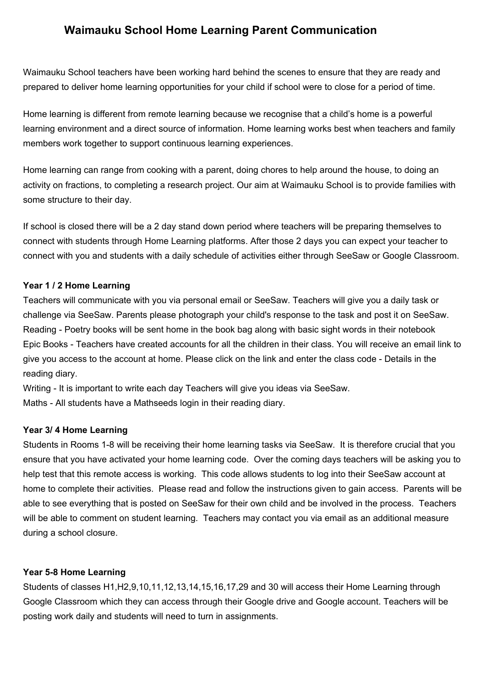## **Waimauku School Home Learning Parent Communication**

Waimauku School teachers have been working hard behind the scenes to ensure that they are ready and prepared to deliver home learning opportunities for your child if school were to close for a period of time.

Home learning is different from remote learning because we recognise that a child's home is a powerful learning environment and a direct source of information. Home learning works best when teachers and family members work together to support continuous learning experiences.

Home learning can range from cooking with a parent, doing chores to help around the house, to doing an activity on fractions, to completing a research project. Our aim at Waimauku School is to provide families with some structure to their day.

If school is closed there will be a 2 day stand down period where teachers will be preparing themselves to connect with students through Home Learning platforms. After those 2 days you can expect your teacher to connect with you and students with a daily schedule of activities either through SeeSaw or Google Classroom.

## **Year 1 / 2 Home Learning**

Teachers will communicate with you via personal email or SeeSaw. Teachers will give you a daily task or challenge via SeeSaw. Parents please photograph your child's response to the task and post it on SeeSaw. Reading - Poetry books will be sent home in the book bag along with basic sight words in their notebook Epic Books - Teachers have created accounts for all the children in their class. You will receive an email link to give you access to the account at home. Please click on the link and enter the class code - Details in the reading diary.

Writing - It is important to write each day Teachers will give you ideas via SeeSaw. Maths - All students have a Mathseeds login in their reading diary.

## **Year 3/ 4 Home Learning**

Students in Rooms 1-8 will be receiving their home learning tasks via SeeSaw. It is therefore crucial that you ensure that you have activated your home learning code. Over the coming days teachers will be asking you to help test that this remote access is working. This code allows students to log into their SeeSaw account at home to complete their activities. Please read and follow the instructions given to gain access. Parents will be able to see everything that is posted on SeeSaw for their own child and be involved in the process. Teachers will be able to comment on student learning. Teachers may contact you via email as an additional measure during a school closure.

## **Year 5-8 Home Learning**

Students of classes H1,H2,9,10,11,12,13,14,15,16,17,29 and 30 will access their Home Learning through Google Classroom which they can access through their Google drive and Google account. Teachers will be posting work daily and students will need to turn in assignments.